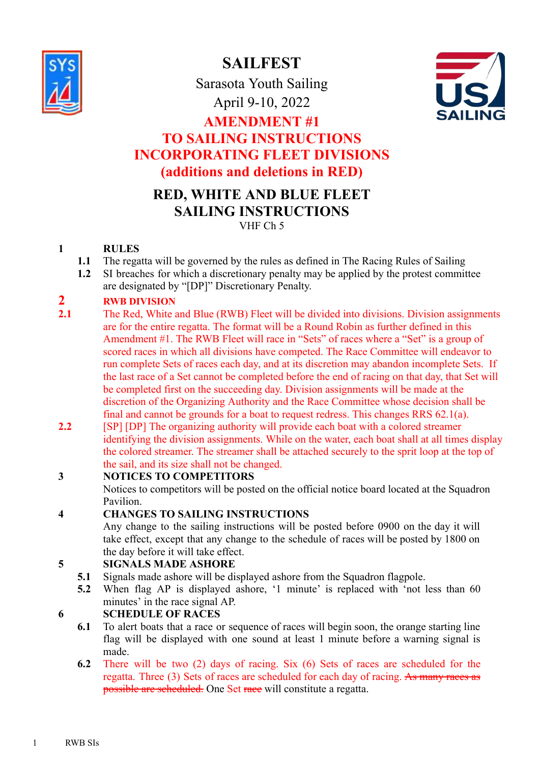

**SAILFEST**

Sarasota Youth Sailing April 9-10, 2022



# **AMENDMENT #1 TO SAILING INSTRUCTIONS INCORPORATING FLEET DIVISIONS (additions and deletions in RED)**

## **RED, WHITE AND BLUE FLEET SAILING INSTRUCTIONS** VHF Ch 5

### **1 RULES**

- **1.1** The regatta will be governed by the rules as defined in The Racing Rules of Sailing
- **1.2** SI breaches for which a discretionary penalty may be applied by the protest committee
- are designated by "[DP]" Discretionary Penalty.

## **2 RWB DIVISION**

- 2.1 The Red, White and Blue (RWB) Fleet will be divided into divisions. Division assignments are for the entire regatta. The format will be a Round Robin as further defined in this Amendment #1. The RWB Fleet will race in "Sets" of races where a "Set" is a group of scored races in which all divisions have competed. The Race Committee will endeavor to run complete Sets of races each day, and at its discretion may abandon incomplete Sets. If the last race of a Set cannot be completed before the end of racing on that day, that Set will be completed first on the succeeding day. Division assignments will be made at the discretion of the Organizing Authority and the Race Committee whose decision shall be final and cannot be grounds for a boat to request redress. This changes RRS 62.1(a).
- **2.2** [SP] [DP] The organizing authority will provide each boat with a colored streamer identifying the division assignments. While on the water, each boat shall at all times display the colored streamer. The streamer shall be attached securely to the sprit loop at the top of the sail, and its size shall not be changed.

## **3 NOTICES TO COMPETITORS**

Notices to competitors will be posted on the official notice board located at the Squadron Pavilion.

## **4 CHANGES TO SAILING INSTRUCTIONS**

Any change to the sailing instructions will be posted before 0900 on the day it will take effect, except that any change to the schedule of races will be posted by 1800 on the day before it will take effect.

## **5 SIGNALS MADE ASHORE**

- **5.1** Signals made ashore will be displayed ashore from the Squadron flagpole.
- **5.2** When flag AP is displayed ashore, '1 minute' is replaced with 'not less than 60 minutes' in the race signal AP.

# **6 SCHEDULE OF RACES**

- **6.1** To alert boats that a race or sequence of races will begin soon, the orange starting line flag will be displayed with one sound at least 1 minute before a warning signal is made.
- **6.2** There will be two (2) days of racing. Six (6) Sets of races are scheduled for the regatta. Three (3) Sets of races are scheduled for each day of racing. As many races as possible are scheduled. One Set race will constitute a regatta.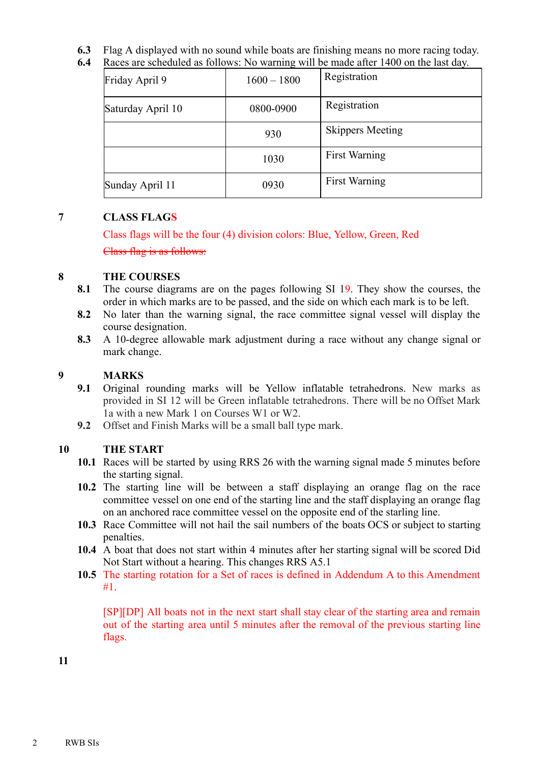**6.3** Flag A displayed with no sound while boats are finishing means no more racing today.

Friday April 9  $\Big| 1600 - 1800 \Big|$  Registration Saturday April 10  $\begin{array}{|c|c|c|c|c|} \hline & 0800-0900 & \text{Resistration} \ \hline \end{array}$ 930 | Skippers Meeting 1030 First Warning Sunday April 11 0930 First Warning

## **6.4** Races are scheduled as follows: No warning will be made after 1400 on the last day.

#### **7 CLASS FLAGS**

Class flags will be the four (4) division colors: Blue, Yellow, Green, Red

Class flag is as follows:

#### **8 THE COURSES**

- **8.1** The course diagrams are on the pages following SI 19. They show the courses, the order in which marks are to be passed, and the side on which each mark is to be left.
- **8.2** No later than the warning signal, the race committee signal vessel will display the course designation.
- **8.3** A 10-degree allowable mark adjustment during a race without any change signal or mark change.

#### **9 MARKS**

- **9.1** Original rounding marks will be Yellow inflatable tetrahedrons. New marks as provided in SI 12 will be Green inflatable tetrahedrons. There will be no Offset Mark 1a with a new Mark 1 on Courses W1 or W2.
- **9.2** Offset and Finish Marks will be a small ball type mark.

#### **10 THE START**

- **10.1** Races will be started by using RRS 26 with the warning signal made 5 minutes before the starting signal.
- **10.2** The starting line will be between a staff displaying an orange flag on the race committee vessel on one end of the starting line and the staff displaying an orange flag on an anchored race committee vessel on the opposite end of the starling line.
- **10.3** Race Committee will not hail the sail numbers of the boats OCS or subject to starting penalties.
- **10.4** A boat that does not start within 4 minutes after her starting signal will be scored Did Not Start without a hearing. This changes RRS A5.1
- **10.5** The starting rotation for a Set of races is defined in Addendum A to this Amendment #1.

[SP][DP] All boats not in the next start shall stay clear of the starting area and remain out of the starting area until 5 minutes after the removal of the previous starting line flags.

**11**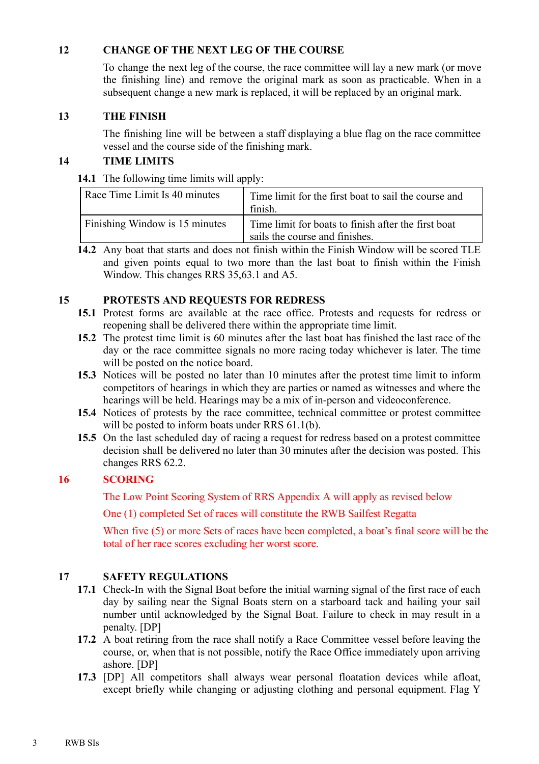#### **12 CHANGE OF THE NEXT LEG OF THE COURSE**

To change the next leg of the course, the race committee will lay a new mark (or move the finishing line) and remove the original mark as soon as practicable. When in a subsequent change a new mark is replaced, it will be replaced by an original mark.

#### **13 THE FINISH**

The finishing line will be between a staff displaying a blue flag on the race committee vessel and the course side of the finishing mark.

#### **14 TIME LIMITS**

**14.1** The following time limits will apply:

| Race Time Limit Is 40 minutes  | Time limit for the first boat to sail the course and<br>finish.                       |  |
|--------------------------------|---------------------------------------------------------------------------------------|--|
| Finishing Window is 15 minutes | Time limit for boats to finish after the first boat<br>sails the course and finishes. |  |

**14.2** Any boat that starts and does not finish within the Finish Window will be scored TLE and given points equal to two more than the last boat to finish within the Finish Window. This changes RRS 35,63.1 and A5.

#### **15 PROTESTS AND REQUESTS FOR REDRESS**

- **15.1** Protest forms are available at the race office. Protests and requests for redress or reopening shall be delivered there within the appropriate time limit.
- **15.2** The protest time limit is 60 minutes after the last boat has finished the last race of the day or the race committee signals no more racing today whichever is later. The time will be posted on the notice board.
- **15.3** Notices will be posted no later than 10 minutes after the protest time limit to inform competitors of hearings in which they are parties or named as witnesses and where the hearings will be held. Hearings may be a mix of in-person and videoconference.
- **15.4** Notices of protests by the race committee, technical committee or protest committee will be posted to inform boats under RRS 61.1(b).
- **15.5** On the last scheduled day of racing a request for redress based on a protest committee decision shall be delivered no later than 30 minutes after the decision was posted. This changes RRS 62.2.

#### **16 SCORING**

The Low Point Scoring System of RRS Appendix A will apply as revised below

One (1) completed Set of races will constitute the RWB Sailfest Regatta

When five (5) or more Sets of races have been completed, a boat's final score will be the total of her race scores excluding her worst score.

#### **17 SAFETY REGULATIONS**

- **17.1** Check-In with the Signal Boat before the initial warning signal of the first race of each day by sailing near the Signal Boats stern on a starboard tack and hailing your sail number until acknowledged by the Signal Boat. Failure to check in may result in a penalty. [DP]
- **17.2** A boat retiring from the race shall notify a Race Committee vessel before leaving the course, or, when that is not possible, notify the Race Office immediately upon arriving ashore. [DP]
- **17.3** [DP] All competitors shall always wear personal floatation devices while afloat, except briefly while changing or adjusting clothing and personal equipment. Flag Y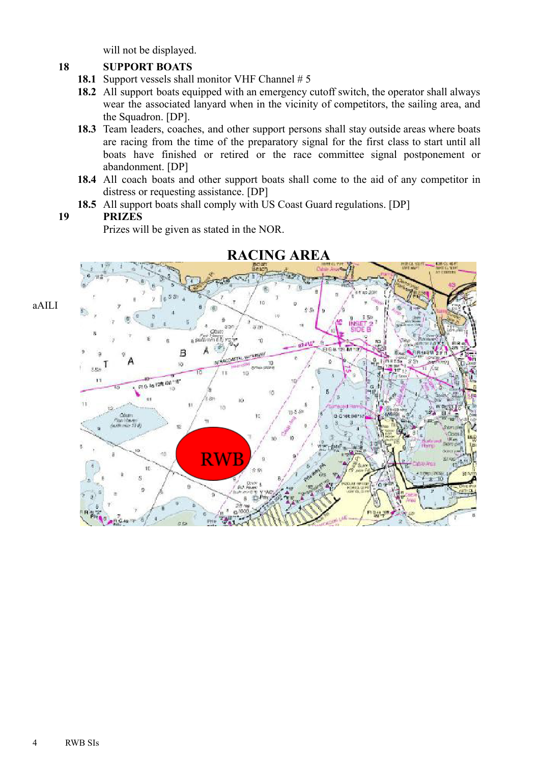will not be displayed.

#### **18 SUPPORT BOATS**

- 18.1 Support vessels shall monitor VHF Channel # 5
- **18.2** All support boats equipped with an emergency cutoff switch, the operator shall always wear the associated lanyard when in the vicinity of competitors, the sailing area, and the Squadron. [DP].
- **18.3** Team leaders, coaches, and other support persons shall stay outside areas where boats are racing from the time of the preparatory signal for the first class to start until all boats have finished or retired or the race committee signal postponement or abandonment. [DP]
- **18.4** All coach boats and other support boats shall come to the aid of any competitor in distress or requesting assistance. [DP]
- **18.5** All support boats shall comply with US Coast Guard regulations. [DP]

#### **19 PRIZES**

Prizes will be given as stated in the NOR.



**RACING AREA**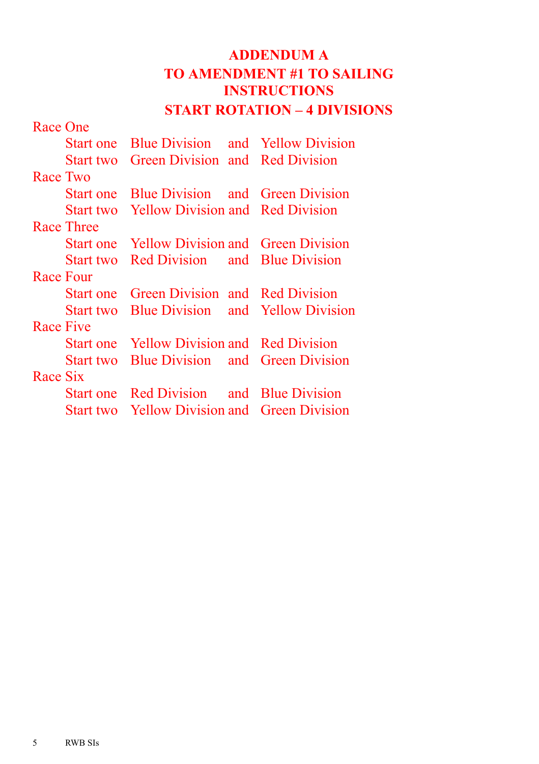# **ADDENDUM A TO AMENDMENT #1 TO SAILING INSTRUCTIONS START ROTATION – 4 DIVISIONS**

| Race One  |            |                                                     |                                          |
|-----------|------------|-----------------------------------------------------|------------------------------------------|
|           |            | <b>Start one</b> Blue Division and Yellow Division  |                                          |
|           | Start two  | Green Division and Red Division                     |                                          |
| Race Two  |            |                                                     |                                          |
|           | Start one  | <b>Blue Division</b> and Green Division             |                                          |
|           | Start two  | <b>Example 12 Yellow Division</b> and Red Division  |                                          |
|           | Race Three |                                                     |                                          |
|           |            | <b>Start one</b> Yellow Division and Green Division |                                          |
|           | Start two  | Red Division and Blue Division                      |                                          |
| Race Four |            |                                                     |                                          |
|           | Start one  | Green Division and Red Division                     |                                          |
|           | Start two  |                                                     | <b>Blue Division</b> and Yellow Division |
| Race Five |            |                                                     |                                          |
|           |            | <b>Start one</b> Yellow Division and Red Division   |                                          |
|           | Start two  | <b>Blue Division</b> and Green Division             |                                          |
| Race Six  |            |                                                     |                                          |
|           |            | <b>Start one</b> Red Division and Blue Division     |                                          |
|           |            | <b>Start two</b> Yellow Division and Green Division |                                          |
|           |            |                                                     |                                          |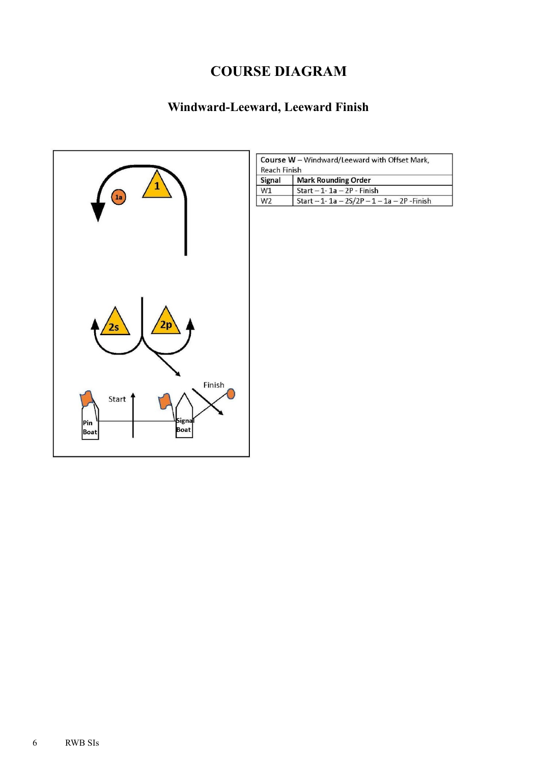# **COURSE DIAGRAM**

# Windward-Leeward, Leeward Finish



| <b>Reach Finish</b> | Course W - Windward/Leeward with Offset Mark,  |
|---------------------|------------------------------------------------|
| <b>Signal</b>       | <b>Mark Rounding Order</b>                     |
| W1                  | Start $-1 - 1a - 2P$ - Finish                  |
| W <sub>2</sub>      | Start - 1- 1a - $2S/2P - 1 - 1a - 2P$ - Finish |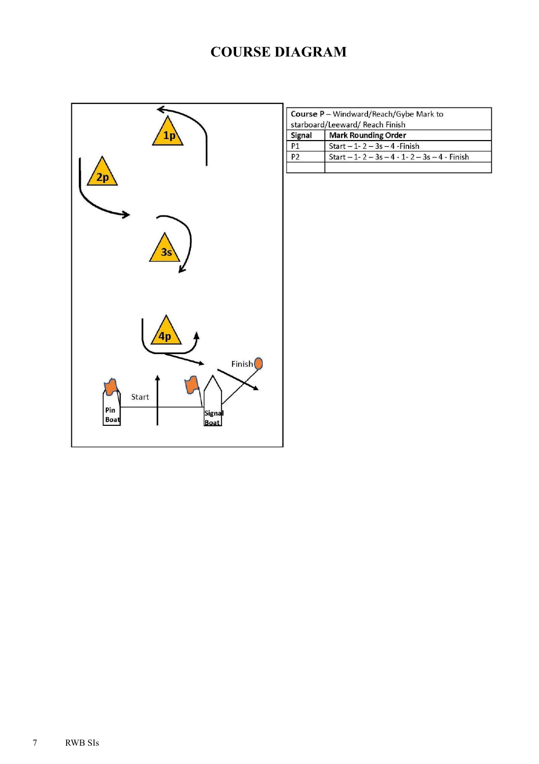# **COURSE DIAGRAM**



| Course P - Windward/Reach/Gybe Mark to<br>starboard/Leeward/ Reach Finish |
|---------------------------------------------------------------------------|
| <b>Mark Rounding Order</b>                                                |
| Start $-1 - 2 - 3s - 4$ -Finish                                           |
| Start $-1$ -2 $-3s$ $-4$ -1-2 $-3s$ $-4$ - Finish                         |
|                                                                           |